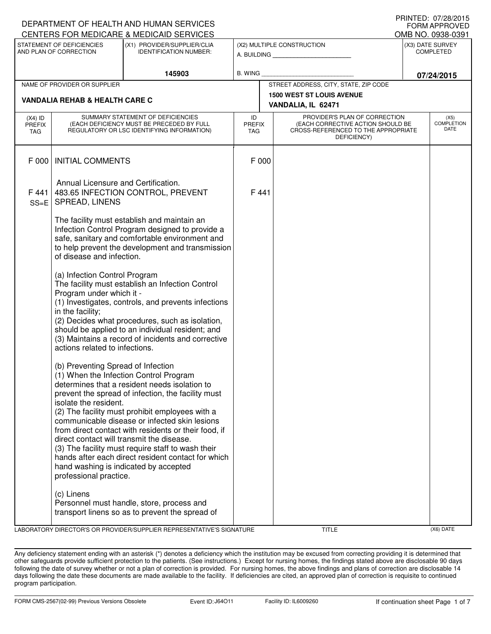| I IUINILLI. VIILOILUIJ<br>DEPARTMENT OF HEALTH AND HUMAN SERVICES<br><b>FORM APPROVED</b> |                                                                                                                                                                             |                                                                                                                                                                                                                                                                                                                                                                                                                      |                                   |  |                                                                                                                          |                                      |                                   |  |  |
|-------------------------------------------------------------------------------------------|-----------------------------------------------------------------------------------------------------------------------------------------------------------------------------|----------------------------------------------------------------------------------------------------------------------------------------------------------------------------------------------------------------------------------------------------------------------------------------------------------------------------------------------------------------------------------------------------------------------|-----------------------------------|--|--------------------------------------------------------------------------------------------------------------------------|--------------------------------------|-----------------------------------|--|--|
|                                                                                           |                                                                                                                                                                             | CENTERS FOR MEDICARE & MEDICAID SERVICES                                                                                                                                                                                                                                                                                                                                                                             |                                   |  |                                                                                                                          |                                      | OMB NO. 0938-0391                 |  |  |
|                                                                                           | STATEMENT OF DEFICIENCIES<br>AND PLAN OF CORRECTION                                                                                                                         | (X1) PROVIDER/SUPPLIER/CLIA<br><b>IDENTIFICATION NUMBER:</b>                                                                                                                                                                                                                                                                                                                                                         |                                   |  | (X2) MULTIPLE CONSTRUCTION<br>A. BUILDING AND AN INCOME.                                                                 | (X3) DATE SURVEY<br><b>COMPLETED</b> |                                   |  |  |
| 145903                                                                                    |                                                                                                                                                                             | B. WING                                                                                                                                                                                                                                                                                                                                                                                                              |                                   |  | 07/24/2015                                                                                                               |                                      |                                   |  |  |
|                                                                                           | NAME OF PROVIDER OR SUPPLIER                                                                                                                                                |                                                                                                                                                                                                                                                                                                                                                                                                                      |                                   |  | STREET ADDRESS, CITY, STATE, ZIP CODE                                                                                    |                                      |                                   |  |  |
| <b>VANDALIA REHAB &amp; HEALTH CARE C</b>                                                 |                                                                                                                                                                             |                                                                                                                                                                                                                                                                                                                                                                                                                      |                                   |  | <b>1500 WEST ST LOUIS AVENUE</b><br>VANDALIA, IL 62471                                                                   |                                      |                                   |  |  |
| $(X4)$ ID<br><b>PREFIX</b><br>TAG                                                         |                                                                                                                                                                             | SUMMARY STATEMENT OF DEFICIENCIES<br>(EACH DEFICIENCY MUST BE PRECEDED BY FULL<br>REGULATORY OR LSC IDENTIFYING INFORMATION)                                                                                                                                                                                                                                                                                         | ID<br><b>PREFIX</b><br><b>TAG</b> |  | PROVIDER'S PLAN OF CORRECTION<br>(EACH CORRECTIVE ACTION SHOULD BE<br>CROSS-REFERENCED TO THE APPROPRIATE<br>DEFICIENCY) |                                      | (X5)<br><b>COMPLETION</b><br>DATE |  |  |
| F 000                                                                                     | <b>INITIAL COMMENTS</b>                                                                                                                                                     |                                                                                                                                                                                                                                                                                                                                                                                                                      | F 000                             |  |                                                                                                                          |                                      |                                   |  |  |
| F441<br>$SS = E$                                                                          | Annual Licensure and Certification.<br>SPREAD, LINENS                                                                                                                       | 483.65 INFECTION CONTROL, PREVENT                                                                                                                                                                                                                                                                                                                                                                                    | F441                              |  |                                                                                                                          |                                      |                                   |  |  |
|                                                                                           | of disease and infection.                                                                                                                                                   | The facility must establish and maintain an<br>Infection Control Program designed to provide a<br>safe, sanitary and comfortable environment and<br>to help prevent the development and transmission                                                                                                                                                                                                                 |                                   |  |                                                                                                                          |                                      |                                   |  |  |
|                                                                                           | (a) Infection Control Program<br>Program under which it -<br>in the facility;<br>actions related to infections.                                                             | The facility must establish an Infection Control<br>(1) Investigates, controls, and prevents infections<br>(2) Decides what procedures, such as isolation,<br>should be applied to an individual resident; and<br>(3) Maintains a record of incidents and corrective                                                                                                                                                 |                                   |  |                                                                                                                          |                                      |                                   |  |  |
|                                                                                           | (b) Preventing Spread of Infection<br>isolate the resident.<br>direct contact will transmit the disease.<br>hand washing is indicated by accepted<br>professional practice. | (1) When the Infection Control Program<br>determines that a resident needs isolation to<br>prevent the spread of infection, the facility must<br>(2) The facility must prohibit employees with a<br>communicable disease or infected skin lesions<br>from direct contact with residents or their food, if<br>(3) The facility must require staff to wash their<br>hands after each direct resident contact for which |                                   |  |                                                                                                                          |                                      |                                   |  |  |
|                                                                                           | (c) Linens                                                                                                                                                                  | Personnel must handle, store, process and<br>transport linens so as to prevent the spread of                                                                                                                                                                                                                                                                                                                         |                                   |  |                                                                                                                          |                                      |                                   |  |  |

LABORATORY DIRECTOR'S OR PROVIDER/SUPPLIER REPRESENTATIVE'S SIGNATURE THE TITLE THE TITLE (X6) DATE

Any deficiency statement ending with an asterisk (\*) denotes a deficiency which the institution may be excused from correcting providing it is determined that other safeguards provide sufficient protection to the patients. (See instructions.) Except for nursing homes, the findings stated above are disclosable 90 days following the date of survey whether or not a plan of correction is provided. For nursing homes, the above findings and plans of correction are disclosable 14 days following the date these documents are made available to the facility. If deficiencies are cited, an approved plan of correction is requisite to continued program participation.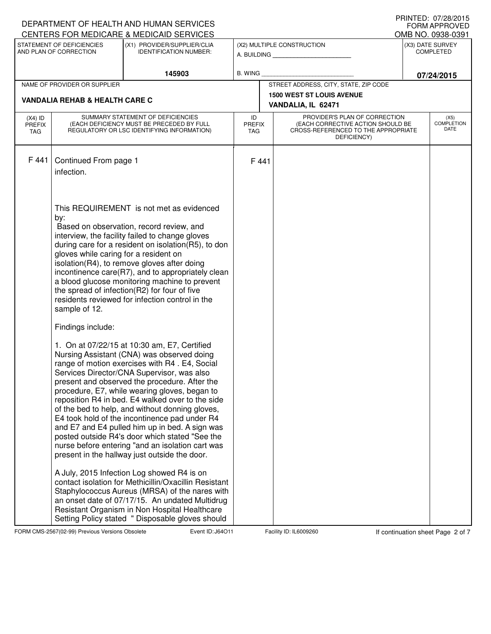|                                          |                                                                                    | DEPARTMENT OF HEALTH AND HUMAN SERVICES<br>CENTERS FOR MEDICARE & MEDICAID SERVICES                                                                                                                                                                                                                                                                                                                                                                                                                                                                                                                                                                                                                                                                                                                                                                                                                                                                                                                                                                                                                                                                                                                                                                                                                                                                                                                                                     |                                   |                                                                                                                          |                                      | PRINIED: 07/28/2015<br><b>FORM APPROVED</b><br>OMB NO. 0938-0391 |  |
|------------------------------------------|------------------------------------------------------------------------------------|-----------------------------------------------------------------------------------------------------------------------------------------------------------------------------------------------------------------------------------------------------------------------------------------------------------------------------------------------------------------------------------------------------------------------------------------------------------------------------------------------------------------------------------------------------------------------------------------------------------------------------------------------------------------------------------------------------------------------------------------------------------------------------------------------------------------------------------------------------------------------------------------------------------------------------------------------------------------------------------------------------------------------------------------------------------------------------------------------------------------------------------------------------------------------------------------------------------------------------------------------------------------------------------------------------------------------------------------------------------------------------------------------------------------------------------------|-----------------------------------|--------------------------------------------------------------------------------------------------------------------------|--------------------------------------|------------------------------------------------------------------|--|
|                                          | STATEMENT OF DEFICIENCIES<br>AND PLAN OF CORRECTION                                | (X1) PROVIDER/SUPPLIER/CLIA<br><b>IDENTIFICATION NUMBER:</b>                                                                                                                                                                                                                                                                                                                                                                                                                                                                                                                                                                                                                                                                                                                                                                                                                                                                                                                                                                                                                                                                                                                                                                                                                                                                                                                                                                            |                                   | (X2) MULTIPLE CONSTRUCTION<br>A. BUILDING <b>A.</b> BUILDING                                                             | (X3) DATE SURVEY<br><b>COMPLETED</b> |                                                                  |  |
|                                          | 145903                                                                             |                                                                                                                                                                                                                                                                                                                                                                                                                                                                                                                                                                                                                                                                                                                                                                                                                                                                                                                                                                                                                                                                                                                                                                                                                                                                                                                                                                                                                                         | B. WING                           |                                                                                                                          | 07/24/2015                           |                                                                  |  |
|                                          | NAME OF PROVIDER OR SUPPLIER                                                       |                                                                                                                                                                                                                                                                                                                                                                                                                                                                                                                                                                                                                                                                                                                                                                                                                                                                                                                                                                                                                                                                                                                                                                                                                                                                                                                                                                                                                                         |                                   | STREET ADDRESS, CITY, STATE, ZIP CODE                                                                                    |                                      |                                                                  |  |
|                                          | <b>VANDALIA REHAB &amp; HEALTH CARE C</b>                                          |                                                                                                                                                                                                                                                                                                                                                                                                                                                                                                                                                                                                                                                                                                                                                                                                                                                                                                                                                                                                                                                                                                                                                                                                                                                                                                                                                                                                                                         |                                   | <b>1500 WEST ST LOUIS AVENUE</b>                                                                                         |                                      |                                                                  |  |
|                                          |                                                                                    |                                                                                                                                                                                                                                                                                                                                                                                                                                                                                                                                                                                                                                                                                                                                                                                                                                                                                                                                                                                                                                                                                                                                                                                                                                                                                                                                                                                                                                         |                                   | VANDALIA, IL 62471                                                                                                       |                                      |                                                                  |  |
| $(X4)$ ID<br><b>PREFIX</b><br><b>TAG</b> |                                                                                    | SUMMARY STATEMENT OF DEFICIENCIES<br>(EACH DEFICIENCY MUST BE PRECEDED BY FULL<br>REGULATORY OR LSC IDENTIFYING INFORMATION)                                                                                                                                                                                                                                                                                                                                                                                                                                                                                                                                                                                                                                                                                                                                                                                                                                                                                                                                                                                                                                                                                                                                                                                                                                                                                                            | ID<br><b>PREFIX</b><br><b>TAG</b> | PROVIDER'S PLAN OF CORRECTION<br>(EACH CORRECTIVE ACTION SHOULD BE<br>CROSS-REFERENCED TO THE APPROPRIATE<br>DEFICIENCY) |                                      | (X5)<br><b>COMPLETION</b><br>DATE                                |  |
| F441                                     | Continued From page 1<br>infection.                                                |                                                                                                                                                                                                                                                                                                                                                                                                                                                                                                                                                                                                                                                                                                                                                                                                                                                                                                                                                                                                                                                                                                                                                                                                                                                                                                                                                                                                                                         | F441                              |                                                                                                                          |                                      |                                                                  |  |
|                                          | by:<br>gloves while caring for a resident on<br>sample of 12.<br>Findings include: | This REQUIREMENT is not met as evidenced<br>Based on observation, record review, and<br>interview, the facility failed to change gloves<br>during care for a resident on isolation(R5), to don<br>isolation(R4), to remove gloves after doing<br>incontinence care(R7), and to appropriately clean<br>a blood glucose monitoring machine to prevent<br>the spread of infection(R2) for four of five<br>residents reviewed for infection control in the<br>1. On at 07/22/15 at 10:30 am, E7, Certified<br>Nursing Assistant (CNA) was observed doing<br>range of motion exercises with R4. E4, Social<br>Services Director/CNA Supervisor, was also<br>present and observed the procedure. After the<br>procedure, E7, while wearing gloves, began to<br>reposition R4 in bed. E4 walked over to the side<br>of the bed to help, and without donning gloves,<br>E4 took hold of the incontinence pad under R4<br>and E7 and E4 pulled him up in bed. A sign was<br>posted outside R4's door which stated "See the<br>nurse before entering "and an isolation cart was<br>present in the hallway just outside the door.<br>A July, 2015 Infection Log showed R4 is on<br>contact isolation for Methicillin/Oxacillin Resistant<br>Staphylococcus Aureus (MRSA) of the nares with<br>an onset date of 07/17/15. An undated Multidrug<br>Resistant Organism in Non Hospital Healthcare<br>Setting Policy stated " Disposable gloves should |                                   |                                                                                                                          |                                      |                                                                  |  |

FORM CMS-2567(02-99) Previous Versions Obsolete **Journal Event ID: J64O11** Facility ID: IL6009260 If continuation sheet Page 2 of 7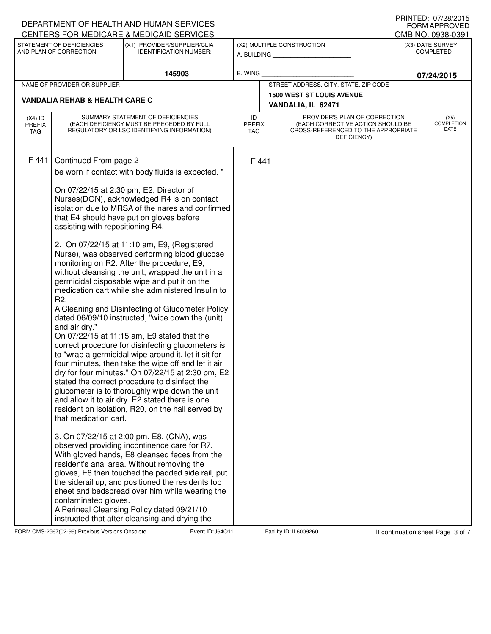|                                                                                                                     |                                                                                                                                                 | DEPARTMENT OF HEALTH AND HUMAN SERVICES<br>CENTERS FOR MEDICARE & MEDICAID SERVICES                                                                                                                                                                                                                                                                                                                                                                                                                                                                                                                                                                                                                                                                                                                                                                                                                                                                                                                                                                                                                                                                                                                                                                                                                                                                                                                                                                                                                                                                                                                    |                                   |                            |                                                                                                                          |            | PRINTED: 07/28/2015<br><b>FORM APPROVED</b><br>OMB NO. 0938-0391 |  |
|---------------------------------------------------------------------------------------------------------------------|-------------------------------------------------------------------------------------------------------------------------------------------------|--------------------------------------------------------------------------------------------------------------------------------------------------------------------------------------------------------------------------------------------------------------------------------------------------------------------------------------------------------------------------------------------------------------------------------------------------------------------------------------------------------------------------------------------------------------------------------------------------------------------------------------------------------------------------------------------------------------------------------------------------------------------------------------------------------------------------------------------------------------------------------------------------------------------------------------------------------------------------------------------------------------------------------------------------------------------------------------------------------------------------------------------------------------------------------------------------------------------------------------------------------------------------------------------------------------------------------------------------------------------------------------------------------------------------------------------------------------------------------------------------------------------------------------------------------------------------------------------------------|-----------------------------------|----------------------------|--------------------------------------------------------------------------------------------------------------------------|------------|------------------------------------------------------------------|--|
| STATEMENT OF DEFICIENCIES<br>(X1) PROVIDER/SUPPLIER/CLIA<br>AND PLAN OF CORRECTION<br><b>IDENTIFICATION NUMBER:</b> |                                                                                                                                                 |                                                                                                                                                                                                                                                                                                                                                                                                                                                                                                                                                                                                                                                                                                                                                                                                                                                                                                                                                                                                                                                                                                                                                                                                                                                                                                                                                                                                                                                                                                                                                                                                        |                                   | (X2) MULTIPLE CONSTRUCTION | (X3) DATE SURVEY<br><b>COMPLETED</b>                                                                                     |            |                                                                  |  |
|                                                                                                                     | 145903                                                                                                                                          |                                                                                                                                                                                                                                                                                                                                                                                                                                                                                                                                                                                                                                                                                                                                                                                                                                                                                                                                                                                                                                                                                                                                                                                                                                                                                                                                                                                                                                                                                                                                                                                                        | <b>B. WING</b>                    |                            |                                                                                                                          | 07/24/2015 |                                                                  |  |
|                                                                                                                     | NAME OF PROVIDER OR SUPPLIER                                                                                                                    |                                                                                                                                                                                                                                                                                                                                                                                                                                                                                                                                                                                                                                                                                                                                                                                                                                                                                                                                                                                                                                                                                                                                                                                                                                                                                                                                                                                                                                                                                                                                                                                                        |                                   |                            | STREET ADDRESS, CITY, STATE, ZIP CODE                                                                                    |            |                                                                  |  |
|                                                                                                                     | <b>VANDALIA REHAB &amp; HEALTH CARE C</b>                                                                                                       |                                                                                                                                                                                                                                                                                                                                                                                                                                                                                                                                                                                                                                                                                                                                                                                                                                                                                                                                                                                                                                                                                                                                                                                                                                                                                                                                                                                                                                                                                                                                                                                                        |                                   |                            | <b>1500 WEST ST LOUIS AVENUE</b><br>VANDALIA, IL 62471                                                                   |            |                                                                  |  |
| $(X4)$ ID<br><b>PREFIX</b><br>TAG                                                                                   | SUMMARY STATEMENT OF DEFICIENCIES<br>(EACH DEFICIENCY MUST BE PRECEDED BY FULL<br>REGULATORY OR LSC IDENTIFYING INFORMATION)                    |                                                                                                                                                                                                                                                                                                                                                                                                                                                                                                                                                                                                                                                                                                                                                                                                                                                                                                                                                                                                                                                                                                                                                                                                                                                                                                                                                                                                                                                                                                                                                                                                        | ID<br><b>PREFIX</b><br><b>TAG</b> |                            | PROVIDER'S PLAN OF CORRECTION<br>(EACH CORRECTIVE ACTION SHOULD BE<br>CROSS-REFERENCED TO THE APPROPRIATE<br>DEFICIENCY) |            | (X5)<br><b>COMPLETION</b><br>DATE                                |  |
| F 441                                                                                                               | Continued From page 2<br>assisting with repositioning R4.<br>R <sub>2</sub> .<br>and air dry."<br>that medication cart.<br>contaminated gloves. | be worn if contact with body fluids is expected. "<br>On 07/22/15 at 2:30 pm, E2, Director of<br>Nurses(DON), acknowledged R4 is on contact<br>isolation due to MRSA of the nares and confirmed<br>that E4 should have put on gloves before<br>2. On 07/22/15 at 11:10 am, E9, (Registered<br>Nurse), was observed performing blood glucose<br>monitoring on R2. After the procedure, E9,<br>without cleansing the unit, wrapped the unit in a<br>germicidal disposable wipe and put it on the<br>medication cart while she administered Insulin to<br>A Cleaning and Disinfecting of Glucometer Policy<br>dated 06/09/10 instructed, "wipe down the (unit)<br>On 07/22/15 at 11:15 am, E9 stated that the<br>correct procedure for disinfecting glucometers is<br>to "wrap a germicidal wipe around it, let it sit for<br>four minutes, then take the wipe off and let it air<br>dry for four minutes." On 07/22/15 at 2:30 pm, E2<br>stated the correct procedure to disinfect the<br>glucometer is to thoroughly wipe down the unit<br>and allow it to air dry. E2 stated there is one<br>resident on isolation, R20, on the hall served by<br>3. On 07/22/15 at 2:00 pm, E8, (CNA), was<br>observed providing incontinence care for R7.<br>With gloved hands, E8 cleansed feces from the<br>resident's anal area. Without removing the<br>gloves, E8 then touched the padded side rail, put<br>the siderail up, and positioned the residents top<br>sheet and bedspread over him while wearing the<br>A Perineal Cleansing Policy dated 09/21/10<br>instructed that after cleansing and drying the |                                   | F 441                      |                                                                                                                          |            |                                                                  |  |

FORM CMS-2567(02-99) Previous Versions Obsolete **Journal Event ID: J64O11** Facility ID: IL6009260 If continuation sheet Page 3 of 7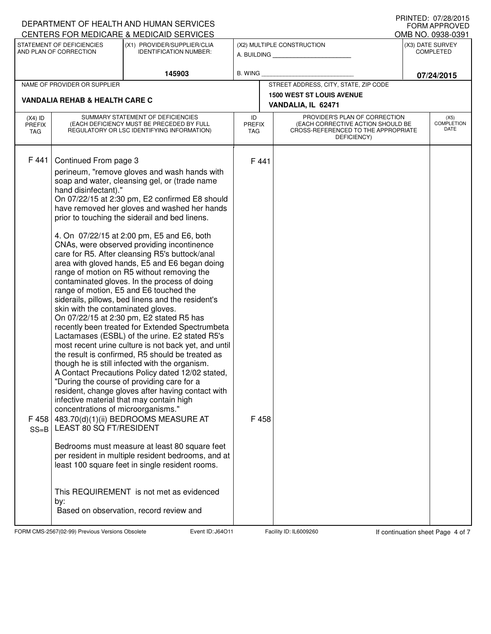|                                                                                                                     |                                                                                                                                                                    | DEPARTMENT OF HEALTH AND HUMAN SERVICES<br>CENTERS FOR MEDICARE & MEDICAID SERVICES                                                                                                                                                                                                                                                                                                                                                                                                                                                                                                                                                                                                                                                                                                                                                                                                                                                                                                                                                                                                                                                                                                                                                                                                                                                                                                                                                                      |                            |                                           |                                                                                                                          |  | FRINTED, UNZOZUIS<br><b>FORM APPROVED</b><br>OMB NO. 0938-0391 |
|---------------------------------------------------------------------------------------------------------------------|--------------------------------------------------------------------------------------------------------------------------------------------------------------------|----------------------------------------------------------------------------------------------------------------------------------------------------------------------------------------------------------------------------------------------------------------------------------------------------------------------------------------------------------------------------------------------------------------------------------------------------------------------------------------------------------------------------------------------------------------------------------------------------------------------------------------------------------------------------------------------------------------------------------------------------------------------------------------------------------------------------------------------------------------------------------------------------------------------------------------------------------------------------------------------------------------------------------------------------------------------------------------------------------------------------------------------------------------------------------------------------------------------------------------------------------------------------------------------------------------------------------------------------------------------------------------------------------------------------------------------------------|----------------------------|-------------------------------------------|--------------------------------------------------------------------------------------------------------------------------|--|----------------------------------------------------------------|
| STATEMENT OF DEFICIENCIES<br>(X1) PROVIDER/SUPPLIER/CLIA<br>AND PLAN OF CORRECTION<br><b>IDENTIFICATION NUMBER:</b> |                                                                                                                                                                    |                                                                                                                                                                                                                                                                                                                                                                                                                                                                                                                                                                                                                                                                                                                                                                                                                                                                                                                                                                                                                                                                                                                                                                                                                                                                                                                                                                                                                                                          |                            | (X2) MULTIPLE CONSTRUCTION<br>A. BUILDING | (X3) DATE SURVEY<br><b>COMPLETED</b>                                                                                     |  |                                                                |
| 145903                                                                                                              |                                                                                                                                                                    | <b>B. WING</b>                                                                                                                                                                                                                                                                                                                                                                                                                                                                                                                                                                                                                                                                                                                                                                                                                                                                                                                                                                                                                                                                                                                                                                                                                                                                                                                                                                                                                                           |                            |                                           | 07/24/2015                                                                                                               |  |                                                                |
|                                                                                                                     | NAME OF PROVIDER OR SUPPLIER                                                                                                                                       |                                                                                                                                                                                                                                                                                                                                                                                                                                                                                                                                                                                                                                                                                                                                                                                                                                                                                                                                                                                                                                                                                                                                                                                                                                                                                                                                                                                                                                                          |                            |                                           | STREET ADDRESS, CITY, STATE, ZIP CODE                                                                                    |  |                                                                |
|                                                                                                                     | <b>VANDALIA REHAB &amp; HEALTH CARE C</b>                                                                                                                          |                                                                                                                                                                                                                                                                                                                                                                                                                                                                                                                                                                                                                                                                                                                                                                                                                                                                                                                                                                                                                                                                                                                                                                                                                                                                                                                                                                                                                                                          |                            |                                           | <b>1500 WEST ST LOUIS AVENUE</b><br>VANDALIA, IL 62471                                                                   |  |                                                                |
| $(X4)$ ID<br><b>PREFIX</b><br>TAG                                                                                   | SUMMARY STATEMENT OF DEFICIENCIES<br>(EACH DEFICIENCY MUST BE PRECEDED BY FULL<br>REGULATORY OR LSC IDENTIFYING INFORMATION)                                       |                                                                                                                                                                                                                                                                                                                                                                                                                                                                                                                                                                                                                                                                                                                                                                                                                                                                                                                                                                                                                                                                                                                                                                                                                                                                                                                                                                                                                                                          | ID<br><b>PREFIX</b><br>TAG |                                           | PROVIDER'S PLAN OF CORRECTION<br>(EACH CORRECTIVE ACTION SHOULD BE<br>CROSS-REFERENCED TO THE APPROPRIATE<br>DEFICIENCY) |  | (X5)<br><b>COMPLETION</b><br>DATE                              |
| F 441<br>F 458<br>$SS = B$                                                                                          | Continued From page 3<br>hand disinfectant)."<br>skin with the contaminated gloves.<br>concentrations of microorganisms."<br><b>LEAST 80 SQ FT/RESIDENT</b><br>by: | perineum, "remove gloves and wash hands with<br>soap and water, cleansing gel, or (trade name<br>On 07/22/15 at 2:30 pm, E2 confirmed E8 should<br>have removed her gloves and washed her hands<br>prior to touching the siderail and bed linens.<br>4. On 07/22/15 at 2:00 pm, E5 and E6, both<br>CNAs, were observed providing incontinence<br>care for R5. After cleansing R5's buttock/anal<br>area with gloved hands, E5 and E6 began doing<br>range of motion on R5 without removing the<br>contaminated gloves. In the process of doing<br>range of motion, E5 and E6 touched the<br>siderails, pillows, bed linens and the resident's<br>On 07/22/15 at 2:30 pm, E2 stated R5 has<br>recently been treated for Extended Spectrumbeta<br>Lactamases (ESBL) of the urine. E2 stated R5's<br>most recent urine culture is not back yet, and until<br>the result is confirmed, R5 should be treated as<br>though he is still infected with the organism.<br>A Contact Precautions Policy dated 12/02 stated,<br>"During the course of providing care for a<br>resident, change gloves after having contact with<br>infective material that may contain high<br>483.70(d)(1)(ii) BEDROOMS MEASURE AT<br>Bedrooms must measure at least 80 square feet<br>per resident in multiple resident bedrooms, and at<br>least 100 square feet in single resident rooms.<br>This REQUIREMENT is not met as evidenced<br>Based on observation, record review and |                            | F 441<br>F 458                            |                                                                                                                          |  |                                                                |

FORM CMS-2567(02-99) Previous Versions Obsolete **Journal Event ID: J64O11** Facility ID: IL6009260 If continuation sheet Page 4 of 7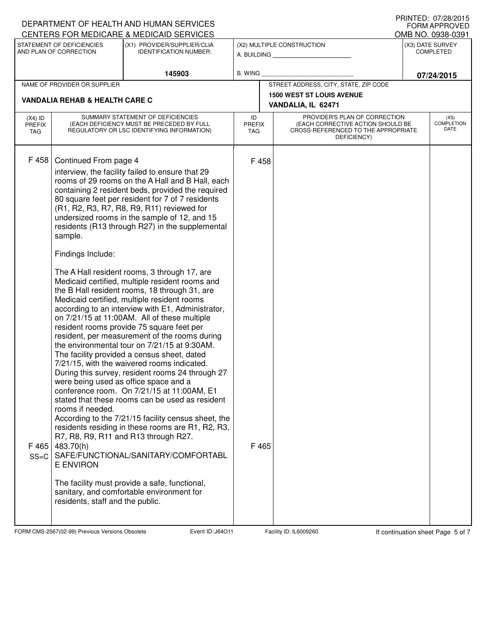|                                                                                                                     |                                                                                                                                                | DEPARTMENT OF HEALTH AND HUMAN SERVICES<br>CENTERS FOR MEDICARE & MEDICAID SERVICES                                                                                                                                                                                                                                                                                                                                                                                                                                                                                                                                                                                                                                                                                                                                                                                                                                                                                                                                                                                                                                                                                                                                                                                                                                                                                                                       |                            |                            |                                                                                                                          |            | FRINIED. <i>UHZOIZUI</i> J<br><b>FORM APPROVED</b><br>OMB NO. 0938-0391 |
|---------------------------------------------------------------------------------------------------------------------|------------------------------------------------------------------------------------------------------------------------------------------------|-----------------------------------------------------------------------------------------------------------------------------------------------------------------------------------------------------------------------------------------------------------------------------------------------------------------------------------------------------------------------------------------------------------------------------------------------------------------------------------------------------------------------------------------------------------------------------------------------------------------------------------------------------------------------------------------------------------------------------------------------------------------------------------------------------------------------------------------------------------------------------------------------------------------------------------------------------------------------------------------------------------------------------------------------------------------------------------------------------------------------------------------------------------------------------------------------------------------------------------------------------------------------------------------------------------------------------------------------------------------------------------------------------------|----------------------------|----------------------------|--------------------------------------------------------------------------------------------------------------------------|------------|-------------------------------------------------------------------------|
| STATEMENT OF DEFICIENCIES<br>(X1) PROVIDER/SUPPLIER/CLIA<br>AND PLAN OF CORRECTION<br><b>IDENTIFICATION NUMBER:</b> |                                                                                                                                                | A. BUILDING                                                                                                                                                                                                                                                                                                                                                                                                                                                                                                                                                                                                                                                                                                                                                                                                                                                                                                                                                                                                                                                                                                                                                                                                                                                                                                                                                                                               |                            | (X2) MULTIPLE CONSTRUCTION | (X3) DATE SURVEY<br><b>COMPLETED</b>                                                                                     |            |                                                                         |
|                                                                                                                     |                                                                                                                                                | 145903                                                                                                                                                                                                                                                                                                                                                                                                                                                                                                                                                                                                                                                                                                                                                                                                                                                                                                                                                                                                                                                                                                                                                                                                                                                                                                                                                                                                    | <b>B. WING</b>             |                            |                                                                                                                          | 07/24/2015 |                                                                         |
|                                                                                                                     | NAME OF PROVIDER OR SUPPLIER                                                                                                                   |                                                                                                                                                                                                                                                                                                                                                                                                                                                                                                                                                                                                                                                                                                                                                                                                                                                                                                                                                                                                                                                                                                                                                                                                                                                                                                                                                                                                           |                            |                            | STREET ADDRESS, CITY, STATE, ZIP CODE                                                                                    |            |                                                                         |
|                                                                                                                     | <b>VANDALIA REHAB &amp; HEALTH CARE C</b>                                                                                                      |                                                                                                                                                                                                                                                                                                                                                                                                                                                                                                                                                                                                                                                                                                                                                                                                                                                                                                                                                                                                                                                                                                                                                                                                                                                                                                                                                                                                           |                            |                            | <b>1500 WEST ST LOUIS AVENUE</b><br>VANDALIA, IL 62471                                                                   |            |                                                                         |
| $(X4)$ ID<br><b>PREFIX</b><br>TAG                                                                                   |                                                                                                                                                | SUMMARY STATEMENT OF DEFICIENCIES<br>(EACH DEFICIENCY MUST BE PRECEDED BY FULL<br>REGULATORY OR LSC IDENTIFYING INFORMATION)                                                                                                                                                                                                                                                                                                                                                                                                                                                                                                                                                                                                                                                                                                                                                                                                                                                                                                                                                                                                                                                                                                                                                                                                                                                                              | ID<br><b>PREFIX</b><br>TAG |                            | PROVIDER'S PLAN OF CORRECTION<br>(EACH CORRECTIVE ACTION SHOULD BE<br>CROSS-REFERENCED TO THE APPROPRIATE<br>DEFICIENCY) |            | (X5)<br><b>COMPLETION</b><br>DATE                                       |
| F 458<br>F 465<br>$SS = C$                                                                                          | Continued From page 4<br>sample.<br>Findings Include:<br>rooms if needed.<br>483.70(h)<br><b>E ENVIRON</b><br>residents, staff and the public. | interview, the facility failed to ensure that 29<br>rooms of 29 rooms on the A Hall and B Hall, each<br>containing 2 resident beds, provided the required<br>80 square feet per resident for 7 of 7 residents<br>(R1, R2, R3, R7, R8, R9, R11) reviewed for<br>undersized rooms in the sample of 12, and 15<br>residents (R13 through R27) in the supplemental<br>The A Hall resident rooms, 3 through 17, are<br>Medicaid certified, multiple resident rooms and<br>the B Hall resident rooms, 18 through 31, are<br>Medicaid certified, multiple resident rooms<br>according to an interview with E1, Administrator,<br>on 7/21/15 at 11:00AM. All of these multiple<br>resident rooms provide 75 square feet per<br>resident, per measurement of the rooms during<br>the environmental tour on 7/21/15 at 9:30AM.<br>The facility provided a census sheet, dated<br>7/21/15, with the waivered rooms indicated.<br>During this survey, resident rooms 24 through 27<br>were being used as office space and a<br>conference room. On 7/21/15 at 11:00AM, E1<br>stated that these rooms can be used as resident<br>According to the 7/21/15 facility census sheet, the<br>residents residing in these rooms are R1, R2, R3,<br>R7, R8, R9, R11 and R13 through R27.<br>SAFE/FUNCTIONAL/SANITARY/COMFORTABL<br>The facility must provide a safe, functional,<br>sanitary, and comfortable environment for |                            | F 458<br>F 465             |                                                                                                                          |            |                                                                         |

FORM CMS-2567(02-99) Previous Versions Obsolete **Journal Event ID: J64O11** Facility ID: IL6009260 If continuation sheet Page 5 of 7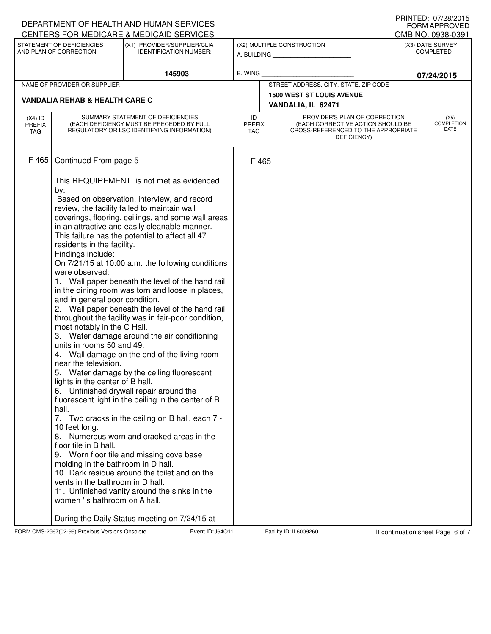|                                                                                                                     |                                                                                                                                                                                                                               | DEPARTMENT OF HEALTH AND HUMAN SERVICES<br>CENTERS FOR MEDICARE & MEDICAID SERVICES                                                                                                                                                                                                                                                                                                                                                                                                                                                                                                                                                                                                                                 |                                   |                                                                                                                          |  | PRINTED: 07/28/2015<br><b>FORM APPROVED</b><br>OMB NO. 0938-0391 |
|---------------------------------------------------------------------------------------------------------------------|-------------------------------------------------------------------------------------------------------------------------------------------------------------------------------------------------------------------------------|---------------------------------------------------------------------------------------------------------------------------------------------------------------------------------------------------------------------------------------------------------------------------------------------------------------------------------------------------------------------------------------------------------------------------------------------------------------------------------------------------------------------------------------------------------------------------------------------------------------------------------------------------------------------------------------------------------------------|-----------------------------------|--------------------------------------------------------------------------------------------------------------------------|--|------------------------------------------------------------------|
| STATEMENT OF DEFICIENCIES<br>(X1) PROVIDER/SUPPLIER/CLIA<br>AND PLAN OF CORRECTION<br><b>IDENTIFICATION NUMBER:</b> |                                                                                                                                                                                                                               |                                                                                                                                                                                                                                                                                                                                                                                                                                                                                                                                                                                                                                                                                                                     | (X2) MULTIPLE CONSTRUCTION        | (X3) DATE SURVEY<br><b>COMPLETED</b>                                                                                     |  |                                                                  |
| 145903                                                                                                              |                                                                                                                                                                                                                               | B. WING                                                                                                                                                                                                                                                                                                                                                                                                                                                                                                                                                                                                                                                                                                             |                                   | 07/24/2015                                                                                                               |  |                                                                  |
|                                                                                                                     | NAME OF PROVIDER OR SUPPLIER                                                                                                                                                                                                  |                                                                                                                                                                                                                                                                                                                                                                                                                                                                                                                                                                                                                                                                                                                     |                                   | STREET ADDRESS, CITY, STATE, ZIP CODE                                                                                    |  |                                                                  |
|                                                                                                                     | <b>VANDALIA REHAB &amp; HEALTH CARE C</b>                                                                                                                                                                                     |                                                                                                                                                                                                                                                                                                                                                                                                                                                                                                                                                                                                                                                                                                                     |                                   | <b>1500 WEST ST LOUIS AVENUE</b>                                                                                         |  |                                                                  |
|                                                                                                                     |                                                                                                                                                                                                                               |                                                                                                                                                                                                                                                                                                                                                                                                                                                                                                                                                                                                                                                                                                                     |                                   | VANDALIA, IL 62471                                                                                                       |  |                                                                  |
| $(X4)$ ID<br><b>PREFIX</b><br><b>TAG</b>                                                                            |                                                                                                                                                                                                                               | SUMMARY STATEMENT OF DEFICIENCIES<br>(EACH DEFICIENCY MUST BE PRECEDED BY FULL<br>REGULATORY OR LSC IDENTIFYING INFORMATION)                                                                                                                                                                                                                                                                                                                                                                                                                                                                                                                                                                                        | ID<br><b>PREFIX</b><br><b>TAG</b> | PROVIDER'S PLAN OF CORRECTION<br>(EACH CORRECTIVE ACTION SHOULD BE<br>CROSS-REFERENCED TO THE APPROPRIATE<br>DEFICIENCY) |  | (X5)<br><b>COMPLETION</b><br>DATE                                |
| F465                                                                                                                | Continued From page 5<br>by:<br>residents in the facility.<br>Findings include:<br>were observed:<br>and in general poor condition.<br>most notably in the C Hall.<br>units in rooms 50 and 49.<br>near the television.<br>5. | This REQUIREMENT is not met as evidenced<br>Based on observation, interview, and record<br>review, the facility failed to maintain wall<br>coverings, flooring, ceilings, and some wall areas<br>in an attractive and easily cleanable manner.<br>This failure has the potential to affect all 47<br>On 7/21/15 at 10:00 a.m. the following conditions<br>1. Wall paper beneath the level of the hand rail<br>in the dining room was torn and loose in places,<br>2. Wall paper beneath the level of the hand rail<br>throughout the facility was in fair-poor condition,<br>3. Water damage around the air conditioning<br>4. Wall damage on the end of the living room<br>Water damage by the ceiling fluorescent | F 465                             |                                                                                                                          |  |                                                                  |
|                                                                                                                     | lights in the center of B hall.<br>hall.<br>7.<br>10 feet long.<br>8.<br>floor tile in B hall.<br>molding in the bathroom in D hall.<br>vents in the bathroom in D hall.<br>women's bathroom on A hall.                       | 6. Unfinished drywall repair around the<br>fluorescent light in the ceiling in the center of B<br>Two cracks in the ceiling on B hall, each 7 -<br>Numerous worn and cracked areas in the<br>9. Worn floor tile and missing cove base<br>10. Dark residue around the toilet and on the<br>11. Unfinished vanity around the sinks in the<br>During the Daily Status meeting on 7/24/15 at                                                                                                                                                                                                                                                                                                                            |                                   |                                                                                                                          |  |                                                                  |

FORM CMS-2567(02-99) Previous Versions Obsolete **Journal Event ID: J64O11** Facility ID: IL6009260 If continuation sheet Page 6 of 7